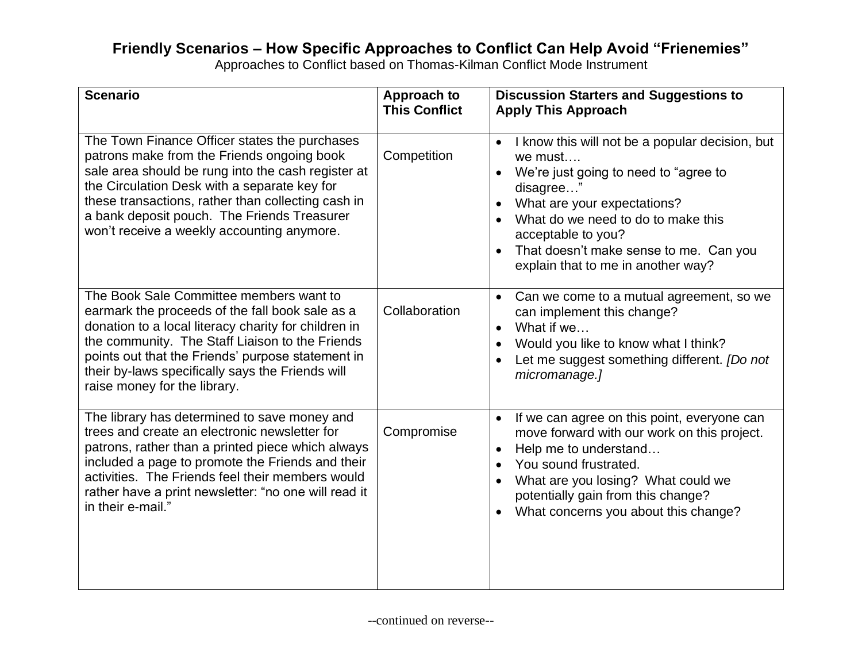## **Friendly Scenarios – How Specific Approaches to Conflict Can Help Avoid "Frienemies"**

Approaches to Conflict based on Thomas-Kilman Conflict Mode Instrument

| <b>Scenario</b>                                                                                                                                                                                                                                                                                                                                      | <b>Approach to</b><br><b>This Conflict</b> | <b>Discussion Starters and Suggestions to</b><br><b>Apply This Approach</b>                                                                                                                                                                                                                                           |
|------------------------------------------------------------------------------------------------------------------------------------------------------------------------------------------------------------------------------------------------------------------------------------------------------------------------------------------------------|--------------------------------------------|-----------------------------------------------------------------------------------------------------------------------------------------------------------------------------------------------------------------------------------------------------------------------------------------------------------------------|
| The Town Finance Officer states the purchases<br>patrons make from the Friends ongoing book<br>sale area should be rung into the cash register at<br>the Circulation Desk with a separate key for<br>these transactions, rather than collecting cash in<br>a bank deposit pouch. The Friends Treasurer<br>won't receive a weekly accounting anymore. | Competition                                | I know this will not be a popular decision, but<br>$\bullet$<br>we must<br>We're just going to need to "agree to<br>disagree"<br>What are your expectations?<br>$\bullet$<br>What do we need to do to make this<br>acceptable to you?<br>That doesn't make sense to me. Can you<br>explain that to me in another way? |
| The Book Sale Committee members want to<br>earmark the proceeds of the fall book sale as a<br>donation to a local literacy charity for children in<br>the community. The Staff Liaison to the Friends<br>points out that the Friends' purpose statement in<br>their by-laws specifically says the Friends will<br>raise money for the library.       | Collaboration                              | Can we come to a mutual agreement, so we<br>$\bullet$<br>can implement this change?<br>What if we<br>$\bullet$<br>Would you like to know what I think?<br>$\bullet$<br>Let me suggest something different. <i>[Do not</i><br>micromanage.]                                                                            |
| The library has determined to save money and<br>trees and create an electronic newsletter for<br>patrons, rather than a printed piece which always<br>included a page to promote the Friends and their<br>activities. The Friends feel their members would<br>rather have a print newsletter: "no one will read it<br>in their e-mail."              | Compromise                                 | If we can agree on this point, everyone can<br>$\bullet$<br>move forward with our work on this project.<br>Help me to understand<br>$\bullet$<br>You sound frustrated.<br>$\bullet$<br>What are you losing? What could we<br>potentially gain from this change?<br>What concerns you about this change?<br>$\bullet$  |